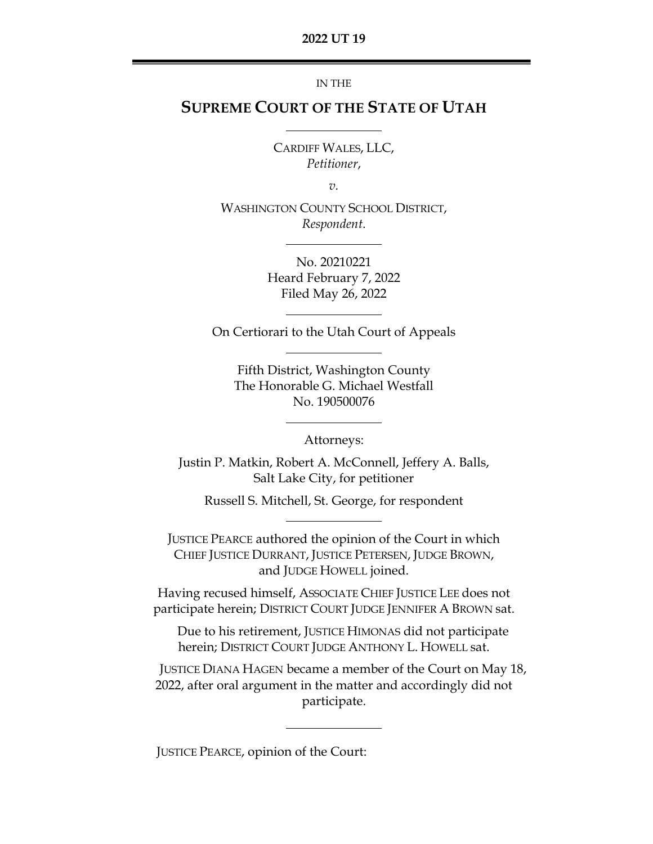IN THE

# **SUPREME COURT OF THE STATE OF UTAH**

CARDIFF WALES, LLC, *Petitioner*,

*v.*

WASHINGTON COUNTY SCHOOL DISTRICT, *Respondent*.

> No. 20210221 Heard February 7, 2022 Filed May 26, 2022

On Certiorari to the Utah Court of Appeals

Fifth District, Washington County The Honorable G. Michael Westfall No. 190500076

Attorneys:

Justin P. Matkin, Robert A. McConnell, Jeffery A. Balls, Salt Lake City, for petitioner

Russell S. Mitchell, St. George, for respondent

JUSTICE PEARCE authored the opinion of the Court in which CHIEF JUSTICE DURRANT, JUSTICE PETERSEN, JUDGE BROWN, and JUDGE HOWELL joined.

Having recused himself, ASSOCIATE CHIEF JUSTICE LEE does not participate herein; DISTRICT COURT JUDGE JENNIFER A BROWN sat.

Due to his retirement, JUSTICE HIMONAS did not participate herein; DISTRICT COURT JUDGE ANTHONY L. HOWELL sat.

JUSTICE DIANA HAGEN became a member of the Court on May 18, 2022, after oral argument in the matter and accordingly did not participate.

JUSTICE PEARCE, opinion of the Court: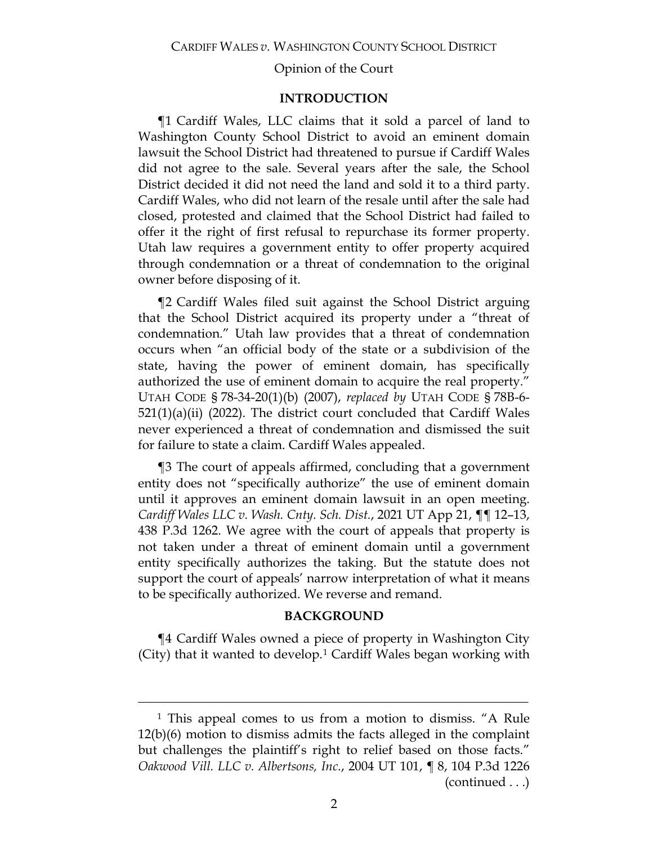# **INTRODUCTION**

¶1 Cardiff Wales, LLC claims that it sold a parcel of land to Washington County School District to avoid an eminent domain lawsuit the School District had threatened to pursue if Cardiff Wales did not agree to the sale. Several years after the sale, the School District decided it did not need the land and sold it to a third party. Cardiff Wales, who did not learn of the resale until after the sale had closed, protested and claimed that the School District had failed to offer it the right of first refusal to repurchase its former property. Utah law requires a government entity to offer property acquired through condemnation or a threat of condemnation to the original owner before disposing of it.

¶2 Cardiff Wales filed suit against the School District arguing that the School District acquired its property under a "threat of condemnation." Utah law provides that a threat of condemnation occurs when "an official body of the state or a subdivision of the state, having the power of eminent domain, has specifically authorized the use of eminent domain to acquire the real property." UTAH CODE § 78-34-20(1)(b) (2007), *replaced by* UTAH CODE § 78B-6-  $521(1)(a)(ii)$  (2022). The district court concluded that Cardiff Wales never experienced a threat of condemnation and dismissed the suit for failure to state a claim. Cardiff Wales appealed.

¶3 The court of appeals affirmed, concluding that a government entity does not "specifically authorize" the use of eminent domain until it approves an eminent domain lawsuit in an open meeting. *Cardiff Wales LLC v. Wash. Cnty. Sch. Dist.*, 2021 UT App 21, ¶¶ 12–13, 438 P.3d 1262. We agree with the court of appeals that property is not taken under a threat of eminent domain until a government entity specifically authorizes the taking. But the statute does not support the court of appeals' narrow interpretation of what it means to be specifically authorized. We reverse and remand.

#### **BACKGROUND**

¶4 Cardiff Wales owned a piece of property in Washington City (City) that it wanted to develop.<sup>[1](#page-1-0)</sup> Cardiff Wales began working with

<span id="page-1-0"></span><sup>1</sup> This appeal comes to us from a motion to dismiss. "A Rule 12(b)(6) motion to dismiss admits the facts alleged in the complaint but challenges the plaintiff's right to relief based on those facts." *Oakwood Vill. LLC v. Albertsons, Inc.*, 2004 UT 101, ¶ 8, 104 P.3d 1226 (continued . . .)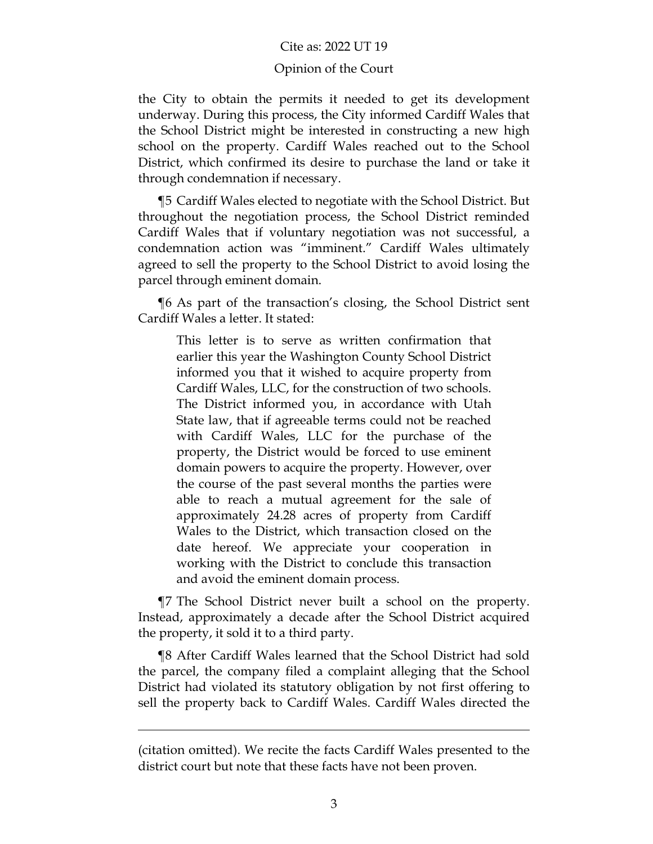### Opinion of the Court

the City to obtain the permits it needed to get its development underway. During this process, the City informed Cardiff Wales that the School District might be interested in constructing a new high school on the property. Cardiff Wales reached out to the School District, which confirmed its desire to purchase the land or take it through condemnation if necessary.

¶5 Cardiff Wales elected to negotiate with the School District. But throughout the negotiation process, the School District reminded Cardiff Wales that if voluntary negotiation was not successful, a condemnation action was "imminent." Cardiff Wales ultimately agreed to sell the property to the School District to avoid losing the parcel through eminent domain.

¶6 As part of the transaction's closing, the School District sent Cardiff Wales a letter. It stated:

This letter is to serve as written confirmation that earlier this year the Washington County School District informed you that it wished to acquire property from Cardiff Wales, LLC, for the construction of two schools. The District informed you, in accordance with Utah State law, that if agreeable terms could not be reached with Cardiff Wales, LLC for the purchase of the property, the District would be forced to use eminent domain powers to acquire the property. However, over the course of the past several months the parties were able to reach a mutual agreement for the sale of approximately 24.28 acres of property from Cardiff Wales to the District, which transaction closed on the date hereof. We appreciate your cooperation in working with the District to conclude this transaction and avoid the eminent domain process.

¶7 The School District never built a school on the property. Instead, approximately a decade after the School District acquired the property, it sold it to a third party.

¶8 After Cardiff Wales learned that the School District had sold the parcel, the company filed a complaint alleging that the School District had violated its statutory obligation by not first offering to sell the property back to Cardiff Wales. Cardiff Wales directed the

 $\overline{a}$ 

<sup>(</sup>citation omitted). We recite the facts Cardiff Wales presented to the district court but note that these facts have not been proven.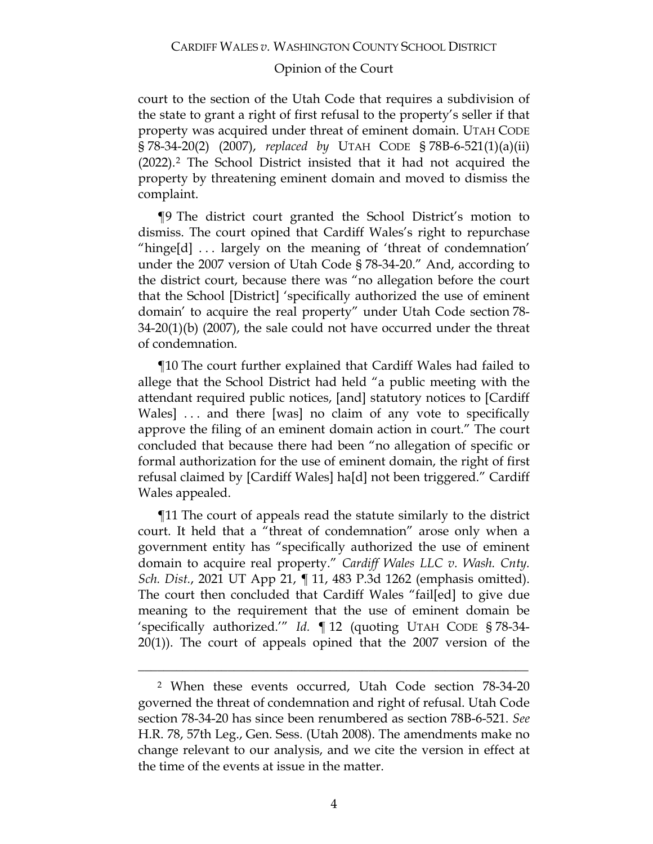court to the section of the Utah Code that requires a subdivision of the state to grant a right of first refusal to the property's seller if that property was acquired under threat of eminent domain. UTAH CODE § 78-34-20(2) (2007), *replaced by* UTAH CODE § 78B-6-521(1)(a)(ii) (2022).[2](#page-3-0) The School District insisted that it had not acquired the property by threatening eminent domain and moved to dismiss the complaint.

¶9 The district court granted the School District's motion to dismiss. The court opined that Cardiff Wales's right to repurchase "hinge[d] . . . largely on the meaning of 'threat of condemnation' under the 2007 version of Utah Code § 78-34-20." And, according to the district court, because there was "no allegation before the court that the School [District] 'specifically authorized the use of eminent domain' to acquire the real property" under Utah Code section 78- 34-20(1)(b) (2007), the sale could not have occurred under the threat of condemnation.

¶10 The court further explained that Cardiff Wales had failed to allege that the School District had held "a public meeting with the attendant required public notices, [and] statutory notices to [Cardiff Wales] ... and there [was] no claim of any vote to specifically approve the filing of an eminent domain action in court." The court concluded that because there had been "no allegation of specific or formal authorization for the use of eminent domain, the right of first refusal claimed by [Cardiff Wales] ha[d] not been triggered." Cardiff Wales appealed.

¶11 The court of appeals read the statute similarly to the district court. It held that a "threat of condemnation" arose only when a government entity has "specifically authorized the use of eminent domain to acquire real property." *Cardiff Wales LLC v. Wash. Cnty. Sch. Dist.*, 2021 UT App 21, ¶ 11, 483 P.3d 1262 (emphasis omitted). The court then concluded that Cardiff Wales "fail[ed] to give due meaning to the requirement that the use of eminent domain be 'specifically authorized.'" *Id.* ¶ 12 (quoting UTAH CODE § 78-34- 20(1)). The court of appeals opined that the 2007 version of the

<span id="page-3-0"></span><sup>2</sup> When these events occurred, Utah Code section 78-34-20 governed the threat of condemnation and right of refusal. Utah Code section 78-34-20 has since been renumbered as section 78B-6-521. *See* H.R. 78, 57th Leg., Gen. Sess. (Utah 2008). The amendments make no change relevant to our analysis, and we cite the version in effect at the time of the events at issue in the matter.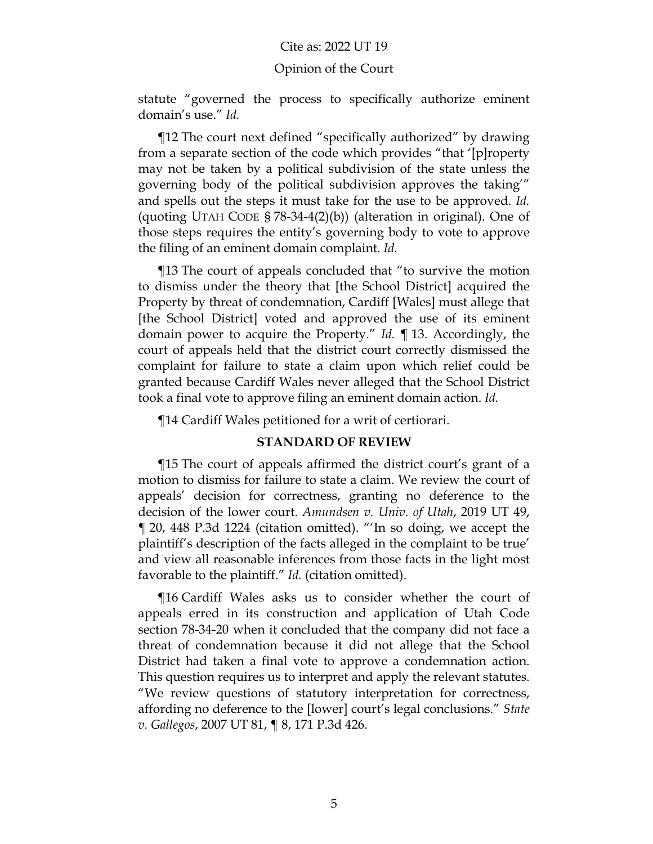#### Opinion of the Court

statute "governed the process to specifically authorize eminent domain's use." *Id.*

¶12 The court next defined "specifically authorized" by drawing from a separate section of the code which provides "that '[p]roperty may not be taken by a political subdivision of the state unless the governing body of the political subdivision approves the taking'" and spells out the steps it must take for the use to be approved. *Id.* (quoting UTAH CODE § 78-34-4(2)(b)) (alteration in original). One of those steps requires the entity's governing body to vote to approve the filing of an eminent domain complaint. *Id.*

¶13 The court of appeals concluded that "to survive the motion to dismiss under the theory that [the School District] acquired the Property by threat of condemnation, Cardiff [Wales] must allege that [the School District] voted and approved the use of its eminent domain power to acquire the Property." *Id.* ¶ 13. Accordingly, the court of appeals held that the district court correctly dismissed the complaint for failure to state a claim upon which relief could be granted because Cardiff Wales never alleged that the School District took a final vote to approve filing an eminent domain action. *Id.*

¶14 Cardiff Wales petitioned for a writ of certiorari.

# **STANDARD OF REVIEW**

¶15 The court of appeals affirmed the district court's grant of a motion to dismiss for failure to state a claim. We review the court of appeals' decision for correctness, granting no deference to the decision of the lower court. *Amundsen v. Univ. of Utah*, 2019 UT 49, ¶ 20, 448 P.3d 1224 (citation omitted). "'In so doing, we accept the plaintiff's description of the facts alleged in the complaint to be true' and view all reasonable inferences from those facts in the light most favorable to the plaintiff." *Id.* (citation omitted).

¶16 Cardiff Wales asks us to consider whether the court of appeals erred in its construction and application of Utah Code section 78-34-20 when it concluded that the company did not face a threat of condemnation because it did not allege that the School District had taken a final vote to approve a condemnation action. This question requires us to interpret and apply the relevant statutes. "We review questions of statutory interpretation for correctness, affording no deference to the [lower] court's legal conclusions." *State v. Gallegos*, 2007 UT 81, ¶ 8, 171 P.3d 426.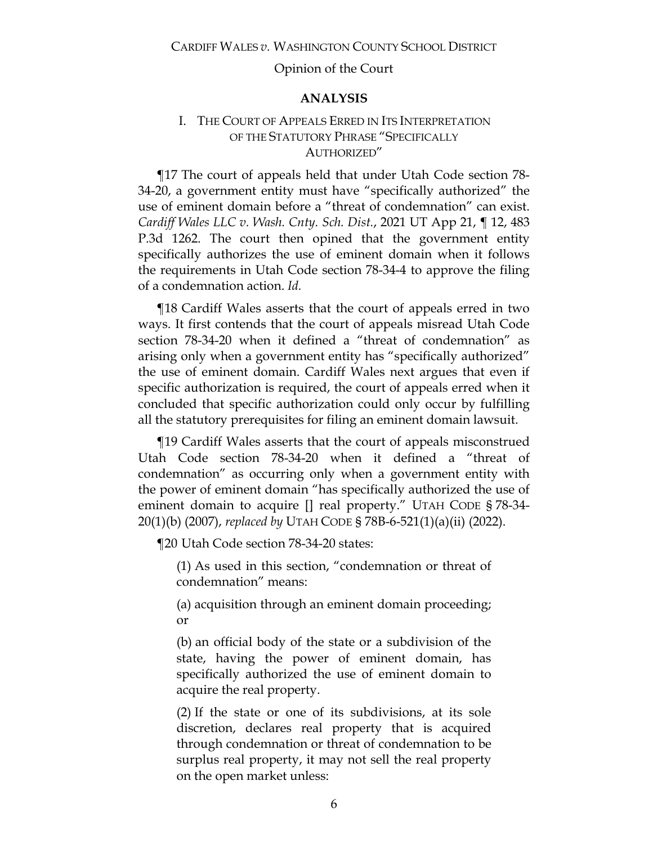### **ANALYSIS**

# I. THE COURT OF APPEALS ERRED IN ITS INTERPRETATION OF THE STATUTORY PHRASE "SPECIFICALLY AUTHORIZED"

¶17 The court of appeals held that under Utah Code section 78- 34-20, a government entity must have "specifically authorized" the use of eminent domain before a "threat of condemnation" can exist. *Cardiff Wales LLC v. Wash. Cnty. Sch. Dist.*, 2021 UT App 21, ¶ 12, 483 P.3d 1262. The court then opined that the government entity specifically authorizes the use of eminent domain when it follows the requirements in Utah Code section 78-34-4 to approve the filing of a condemnation action. *Id.*

¶18 Cardiff Wales asserts that the court of appeals erred in two ways. It first contends that the court of appeals misread Utah Code section 78-34-20 when it defined a "threat of condemnation" as arising only when a government entity has "specifically authorized" the use of eminent domain. Cardiff Wales next argues that even if specific authorization is required, the court of appeals erred when it concluded that specific authorization could only occur by fulfilling all the statutory prerequisites for filing an eminent domain lawsuit.

¶19 Cardiff Wales asserts that the court of appeals misconstrued Utah Code section 78-34-20 when it defined a "threat of condemnation" as occurring only when a government entity with the power of eminent domain "has specifically authorized the use of eminent domain to acquire [] real property." UTAH CODE § 78-34- 20(1)(b) (2007), *replaced by* UTAH CODE § 78B-6-521(1)(a)(ii) (2022).

¶20 Utah Code section 78-34-20 states:

(1) As used in this section, "condemnation or threat of condemnation" means:

(a) acquisition through an eminent domain proceeding; or

(b) an official body of the state or a subdivision of the state, having the power of eminent domain, has specifically authorized the use of eminent domain to acquire the real property.

(2) If the state or one of its subdivisions, at its sole discretion, declares real property that is acquired through condemnation or threat of condemnation to be surplus real property, it may not sell the real property on the open market unless: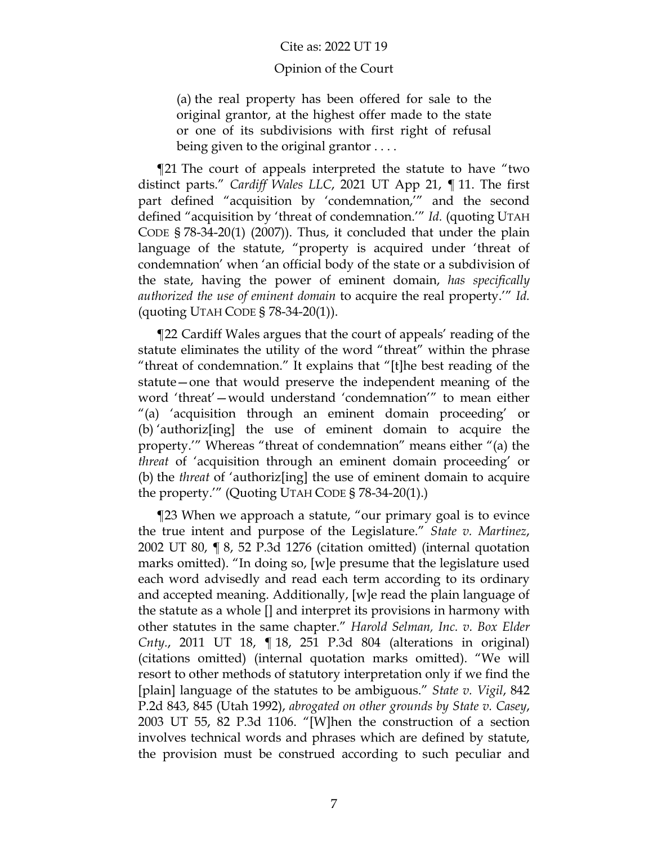# Opinion of the Court

(a) the real property has been offered for sale to the original grantor, at the highest offer made to the state or one of its subdivisions with first right of refusal being given to the original grantor . . . .

¶21 The court of appeals interpreted the statute to have "two distinct parts." *Cardiff Wales LLC*, 2021 UT App 21, ¶ 11. The first part defined "acquisition by 'condemnation,'" and the second defined "acquisition by 'threat of condemnation.'" *Id.* (quoting UTAH CODE § 78-34-20(1) (2007)). Thus, it concluded that under the plain language of the statute, "property is acquired under 'threat of condemnation' when 'an official body of the state or a subdivision of the state, having the power of eminent domain, *has specifically authorized the use of eminent domain* to acquire the real property.'" *Id.* (quoting UTAH CODE § 78-34-20(1)).

¶22 Cardiff Wales argues that the court of appeals' reading of the statute eliminates the utility of the word "threat" within the phrase "threat of condemnation." It explains that "[t]he best reading of the statute—one that would preserve the independent meaning of the word 'threat'—would understand 'condemnation'" to mean either "(a) 'acquisition through an eminent domain proceeding' or (b) 'authoriz[ing] the use of eminent domain to acquire the property.'" Whereas "threat of condemnation" means either "(a) the *threat* of 'acquisition through an eminent domain proceeding' or (b) the *threat* of 'authoriz[ing] the use of eminent domain to acquire the property.'" (Quoting UTAH CODE § 78-34-20(1).)

¶23 When we approach a statute, "our primary goal is to evince the true intent and purpose of the Legislature." *State v. Martinez*, 2002 UT 80, ¶ 8, 52 P.3d 1276 (citation omitted) (internal quotation marks omitted). "In doing so, [w]e presume that the legislature used each word advisedly and read each term according to its ordinary and accepted meaning. Additionally, [w]e read the plain language of the statute as a whole [] and interpret its provisions in harmony with other statutes in the same chapter." *Harold Selman, Inc. v. Box Elder Cnty.*, 2011 UT 18, ¶ 18, 251 P.3d 804 (alterations in original) (citations omitted) (internal quotation marks omitted). "We will resort to other methods of statutory interpretation only if we find the [plain] language of the statutes to be ambiguous." *State v. Vigil*, 842 P.2d 843, 845 (Utah 1992), *abrogated on other grounds by State v. Casey*, 2003 UT 55, 82 P.3d 1106. "[W]hen the construction of a section involves technical words and phrases which are defined by statute, the provision must be construed according to such peculiar and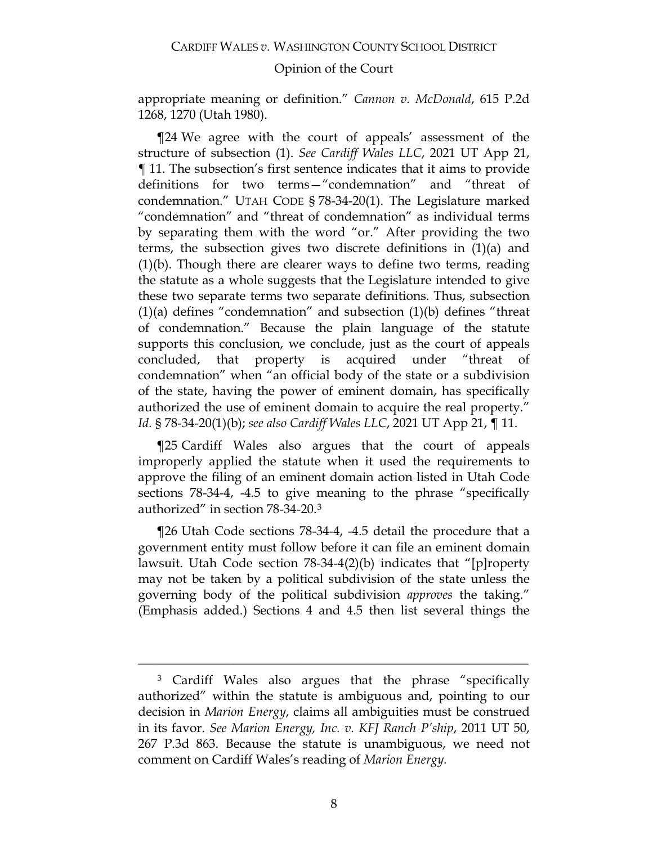appropriate meaning or definition." *Cannon v. McDonald*, 615 P.2d 1268, 1270 (Utah 1980).

¶24 We agree with the court of appeals' assessment of the structure of subsection (1). *See Cardiff Wales LLC*, 2021 UT App 21, ¶ 11. The subsection's first sentence indicates that it aims to provide definitions for two terms—"condemnation" and "threat of condemnation." UTAH CODE § 78-34-20(1). The Legislature marked "condemnation" and "threat of condemnation" as individual terms by separating them with the word "or." After providing the two terms, the subsection gives two discrete definitions in (1)(a) and (1)(b). Though there are clearer ways to define two terms, reading the statute as a whole suggests that the Legislature intended to give these two separate terms two separate definitions. Thus, subsection  $(1)(a)$  defines "condemnation" and subsection  $(1)(b)$  defines "threat of condemnation." Because the plain language of the statute supports this conclusion, we conclude, just as the court of appeals concluded, that property is acquired under "threat of condemnation" when "an official body of the state or a subdivision of the state, having the power of eminent domain, has specifically authorized the use of eminent domain to acquire the real property." *Id.* § 78-34-20(1)(b); *see also Cardiff Wales LLC*, 2021 UT App 21, ¶ 11.

¶25 Cardiff Wales also argues that the court of appeals improperly applied the statute when it used the requirements to approve the filing of an eminent domain action listed in Utah Code sections 78-34-4, -4.5 to give meaning to the phrase "specifically authorized" in section 78-34-20.[3](#page-7-0)

¶26 Utah Code sections 78-34-4, -4.5 detail the procedure that a government entity must follow before it can file an eminent domain lawsuit. Utah Code section 78-34-4(2)(b) indicates that "[p]roperty may not be taken by a political subdivision of the state unless the governing body of the political subdivision *approves* the taking." (Emphasis added.) Sections 4 and 4.5 then list several things the

<span id="page-7-0"></span><sup>3</sup> Cardiff Wales also argues that the phrase "specifically authorized" within the statute is ambiguous and, pointing to our decision in *Marion Energy*, claims all ambiguities must be construed in its favor. *See Marion Energy, Inc. v. KFJ Ranch P'ship*, 2011 UT 50, 267 P.3d 863. Because the statute is unambiguous, we need not comment on Cardiff Wales's reading of *Marion Energy.*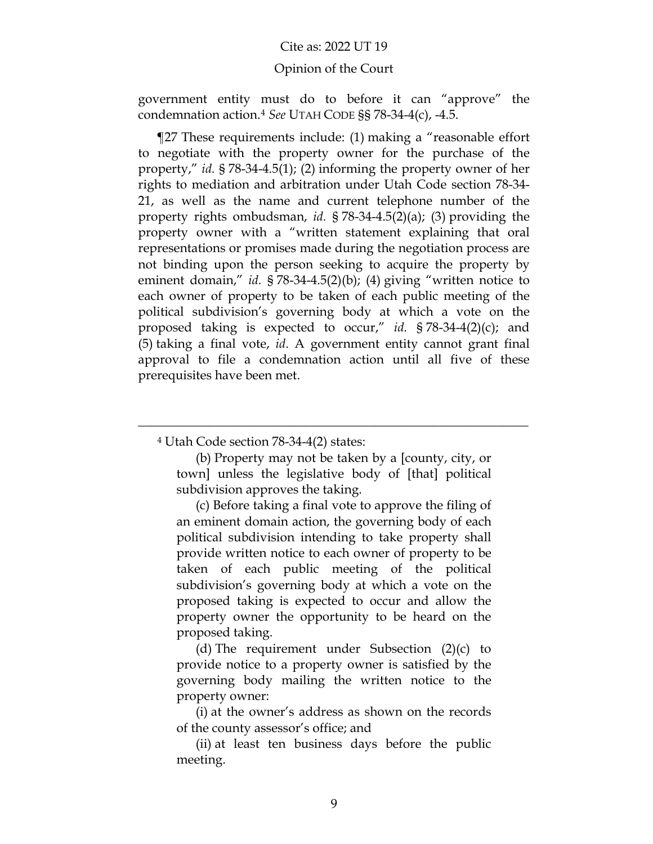### Opinion of the Court

government entity must do to before it can "approve" the condemnation action.[4](#page-8-0) *See* UTAH CODE §§ 78-34-4(c), -4.5.

¶27 These requirements include: (1) making a "reasonable effort to negotiate with the property owner for the purchase of the property," *id.* § 78-34-4.5(1); (2) informing the property owner of her rights to mediation and arbitration under Utah Code section 78-34- 21, as well as the name and current telephone number of the property rights ombudsman, *id.* § 78-34-4.5(2)(a); (3) providing the property owner with a "written statement explaining that oral representations or promises made during the negotiation process are not binding upon the person seeking to acquire the property by eminent domain," *id.* § 78-34-4.5(2)(b); (4) giving "written notice to each owner of property to be taken of each public meeting of the political subdivision's governing body at which a vote on the proposed taking is expected to occur," *id.* § 78-34-4(2)(c); and (5) taking a final vote, *id*. A government entity cannot grant final approval to file a condemnation action until all five of these prerequisites have been met.

<sup>4</sup> Utah Code section 78-34-4(2) states:

(b) Property may not be taken by a [county, city, or town] unless the legislative body of [that] political subdivision approves the taking.

<span id="page-8-0"></span>\_\_\_\_\_\_\_\_\_\_\_\_\_\_\_\_\_\_\_\_\_\_\_\_\_\_\_\_\_\_\_\_\_\_\_\_\_\_\_\_\_\_\_\_\_\_\_\_\_\_\_\_\_\_\_\_\_\_\_\_\_

(c) Before taking a final vote to approve the filing of an eminent domain action, the governing body of each political subdivision intending to take property shall provide written notice to each owner of property to be taken of each public meeting of the political subdivision's governing body at which a vote on the proposed taking is expected to occur and allow the property owner the opportunity to be heard on the proposed taking.

(d) The requirement under Subsection (2)(c) to provide notice to a property owner is satisfied by the governing body mailing the written notice to the property owner:

(i) at the owner's address as shown on the records of the county assessor's office; and

(ii) at least ten business days before the public meeting.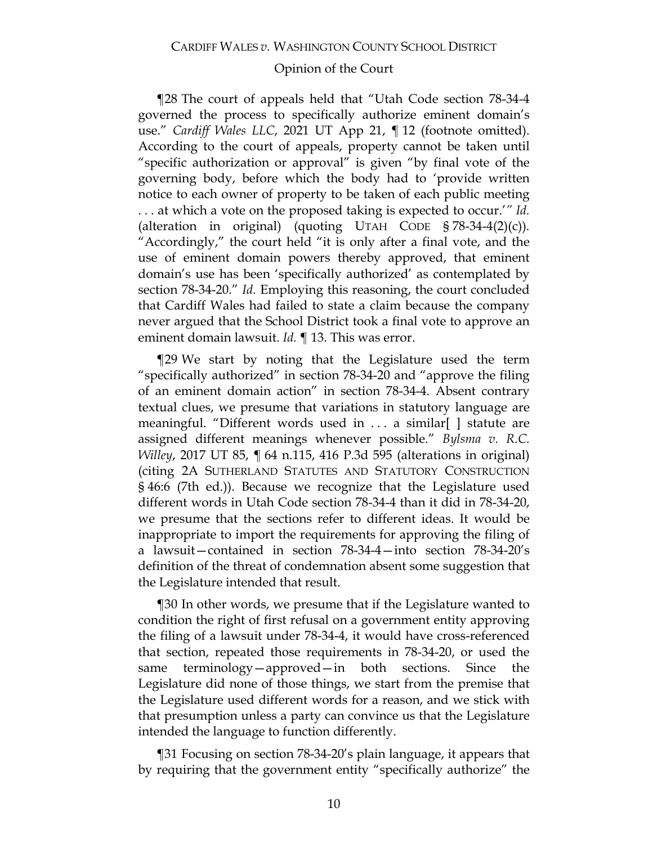¶28 The court of appeals held that "Utah Code section 78-34-4 governed the process to specifically authorize eminent domain's use." *Cardiff Wales LLC*, 2021 UT App 21, ¶ 12 (footnote omitted). According to the court of appeals, property cannot be taken until "specific authorization or approval" is given "by final vote of the governing body, before which the body had to 'provide written notice to each owner of property to be taken of each public meeting . . . at which a vote on the proposed taking is expected to occur.'*" Id.*  (alteration in original) (quoting UTAH CODE § 78-34-4(2)(c))*.* "Accordingly," the court held "it is only after a final vote, and the use of eminent domain powers thereby approved, that eminent domain's use has been 'specifically authorized' as contemplated by section 78-34-20." *Id.* Employing this reasoning, the court concluded that Cardiff Wales had failed to state a claim because the company never argued that the School District took a final vote to approve an eminent domain lawsuit. *Id.* ¶ 13. This was error.

¶29 We start by noting that the Legislature used the term "specifically authorized" in section 78-34-20 and "approve the filing of an eminent domain action" in section 78-34-4. Absent contrary textual clues, we presume that variations in statutory language are meaningful. "Different words used in . . . a similar[ ] statute are assigned different meanings whenever possible." *Bylsma v. R.C. Willey*, 2017 UT 85, ¶ 64 n.115, 416 P.3d 595 (alterations in original) (citing 2A SUTHERLAND STATUTES AND STATUTORY CONSTRUCTION § 46:6 (7th ed.)). Because we recognize that the Legislature used different words in Utah Code section 78-34-4 than it did in 78-34-20, we presume that the sections refer to different ideas. It would be inappropriate to import the requirements for approving the filing of a lawsuit—contained in section 78-34-4—into section 78-34-20's definition of the threat of condemnation absent some suggestion that the Legislature intended that result.

¶30 In other words, we presume that if the Legislature wanted to condition the right of first refusal on a government entity approving the filing of a lawsuit under 78-34-4, it would have cross-referenced that section, repeated those requirements in 78-34-20, or used the same terminology—approved—in both sections. Since the Legislature did none of those things, we start from the premise that the Legislature used different words for a reason, and we stick with that presumption unless a party can convince us that the Legislature intended the language to function differently.

¶31 Focusing on section 78-34-20's plain language, it appears that by requiring that the government entity "specifically authorize" the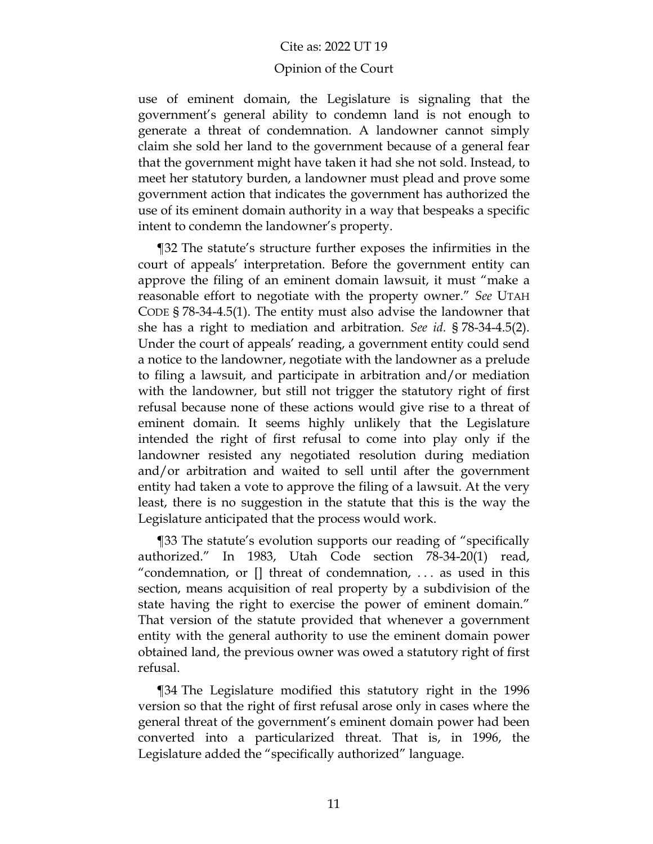#### Opinion of the Court

use of eminent domain, the Legislature is signaling that the government's general ability to condemn land is not enough to generate a threat of condemnation. A landowner cannot simply claim she sold her land to the government because of a general fear that the government might have taken it had she not sold. Instead, to meet her statutory burden, a landowner must plead and prove some government action that indicates the government has authorized the use of its eminent domain authority in a way that bespeaks a specific intent to condemn the landowner's property.

¶32 The statute's structure further exposes the infirmities in the court of appeals' interpretation. Before the government entity can approve the filing of an eminent domain lawsuit, it must "make a reasonable effort to negotiate with the property owner." *See* UTAH CODE § 78-34-4.5(1). The entity must also advise the landowner that she has a right to mediation and arbitration. *See id.* § 78-34-4.5(2). Under the court of appeals' reading, a government entity could send a notice to the landowner, negotiate with the landowner as a prelude to filing a lawsuit, and participate in arbitration and/or mediation with the landowner, but still not trigger the statutory right of first refusal because none of these actions would give rise to a threat of eminent domain. It seems highly unlikely that the Legislature intended the right of first refusal to come into play only if the landowner resisted any negotiated resolution during mediation and/or arbitration and waited to sell until after the government entity had taken a vote to approve the filing of a lawsuit. At the very least, there is no suggestion in the statute that this is the way the Legislature anticipated that the process would work.

¶33 The statute's evolution supports our reading of "specifically authorized." In 1983, Utah Code section 78-34-20(1) read, "condemnation, or [] threat of condemnation, . . . as used in this section, means acquisition of real property by a subdivision of the state having the right to exercise the power of eminent domain." That version of the statute provided that whenever a government entity with the general authority to use the eminent domain power obtained land, the previous owner was owed a statutory right of first refusal.

¶34 The Legislature modified this statutory right in the 1996 version so that the right of first refusal arose only in cases where the general threat of the government's eminent domain power had been converted into a particularized threat. That is, in 1996, the Legislature added the "specifically authorized" language.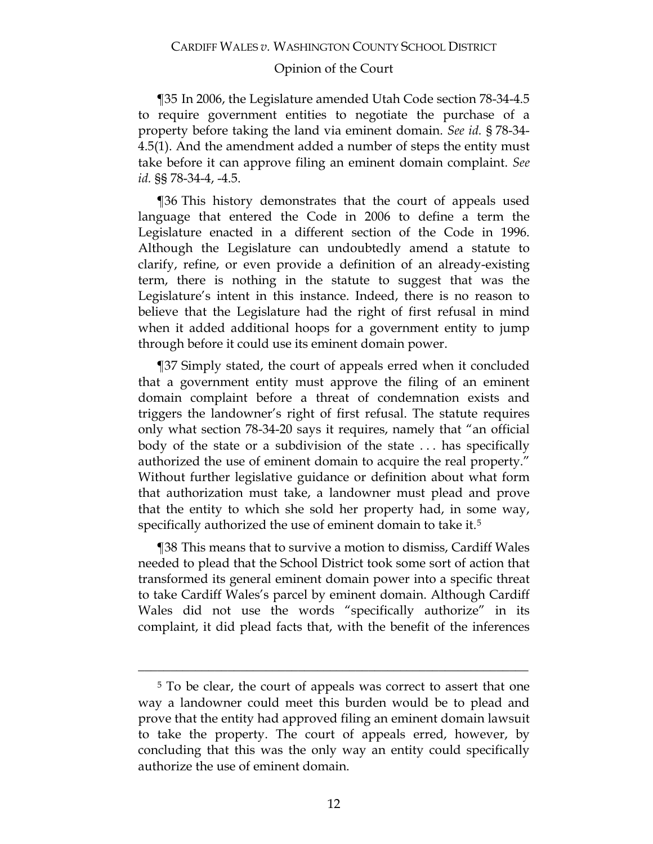¶35 In 2006, the Legislature amended Utah Code section 78-34-4.5 to require government entities to negotiate the purchase of a property before taking the land via eminent domain. *See id.* § 78-34- 4.5(1). And the amendment added a number of steps the entity must take before it can approve filing an eminent domain complaint. *See id.* §§ 78-34-4, -4.5.

¶36 This history demonstrates that the court of appeals used language that entered the Code in 2006 to define a term the Legislature enacted in a different section of the Code in 1996. Although the Legislature can undoubtedly amend a statute to clarify, refine, or even provide a definition of an already-existing term, there is nothing in the statute to suggest that was the Legislature's intent in this instance. Indeed, there is no reason to believe that the Legislature had the right of first refusal in mind when it added additional hoops for a government entity to jump through before it could use its eminent domain power.

¶37 Simply stated, the court of appeals erred when it concluded that a government entity must approve the filing of an eminent domain complaint before a threat of condemnation exists and triggers the landowner's right of first refusal. The statute requires only what section 78-34-20 says it requires, namely that "an official body of the state or a subdivision of the state . . . has specifically authorized the use of eminent domain to acquire the real property." Without further legislative guidance or definition about what form that authorization must take, a landowner must plead and prove that the entity to which she sold her property had, in some way, specifically authorized the use of eminent domain to take it.<sup>5</sup>

¶38 This means that to survive a motion to dismiss, Cardiff Wales needed to plead that the School District took some sort of action that transformed its general eminent domain power into a specific threat to take Cardiff Wales's parcel by eminent domain. Although Cardiff Wales did not use the words "specifically authorize" in its complaint, it did plead facts that, with the benefit of the inferences

<span id="page-11-0"></span><sup>5</sup> To be clear, the court of appeals was correct to assert that one way a landowner could meet this burden would be to plead and prove that the entity had approved filing an eminent domain lawsuit to take the property. The court of appeals erred, however, by concluding that this was the only way an entity could specifically authorize the use of eminent domain.